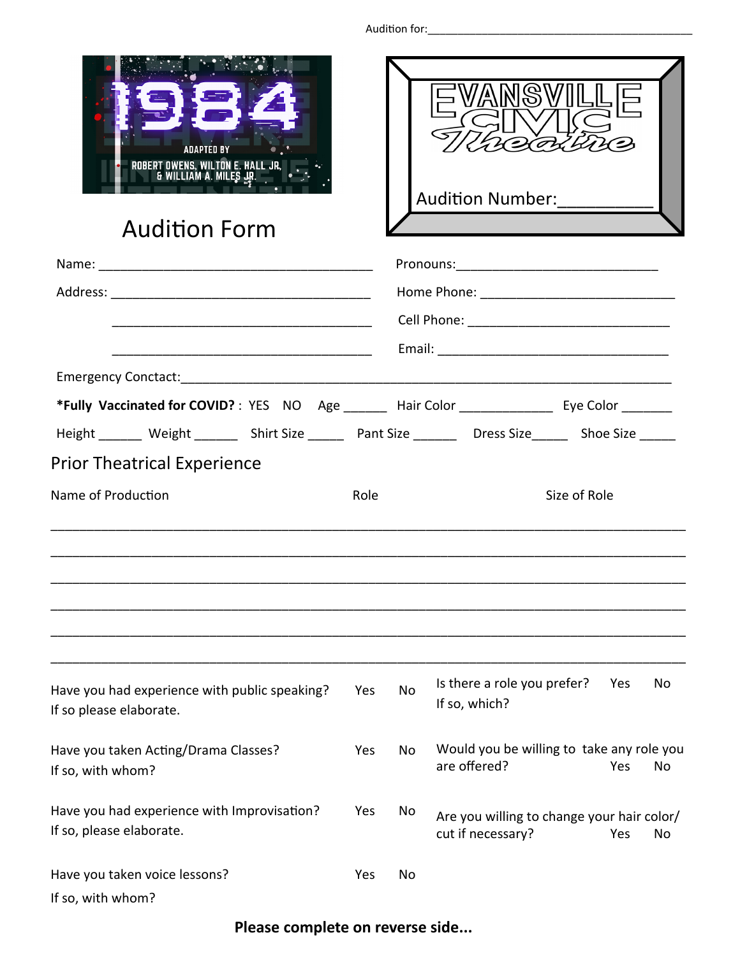| <b>Audition Form</b>                                                                               |      |    | <b>Audition Number:</b>                      |              |    |
|----------------------------------------------------------------------------------------------------|------|----|----------------------------------------------|--------------|----|
|                                                                                                    |      |    |                                              |              |    |
|                                                                                                    |      |    |                                              |              |    |
|                                                                                                    |      |    |                                              |              |    |
|                                                                                                    |      |    |                                              |              |    |
| Emergency Conctact: Emergency Conctact:                                                            |      |    |                                              |              |    |
| *Fully Vaccinated for COVID?: YES NO Age ______ Hair Color ____________ Eye Color _______          |      |    |                                              |              |    |
| Height _______ Weight _______ Shirt Size ______ Pant Size _______ Dress Size _____ Shoe Size _____ |      |    |                                              |              |    |
| <b>Prior Theatrical Experience</b>                                                                 |      |    |                                              |              |    |
| Name of Production                                                                                 | Role |    |                                              | Size of Role |    |
|                                                                                                    |      |    |                                              |              |    |
| Have you had experience with public speaking?<br>If so please elaborate.                           | Yes  | No | Is there a role you prefer?<br>If so, which? | Yes          | No |

Would you be willing to take any role you are offered? Yes No

Are you willing to change your hair color/ cut if necessary? Yes No

| If so please elaborate.              |
|--------------------------------------|
|                                      |
| Have vou taken Acting/Drama Classes? |

| Have you taken Acting/Drama Classes? | Yes | No |
|--------------------------------------|-----|----|
| If so, with whom?                    |     |    |
|                                      |     |    |

Have you had experience with Improvisation? Yes No If so, please elaborate.

| Have you taken voice lessons? | Yes: | - No |
|-------------------------------|------|------|
| If so, with whom?             |      |      |

## **Please complete on reverse side...**